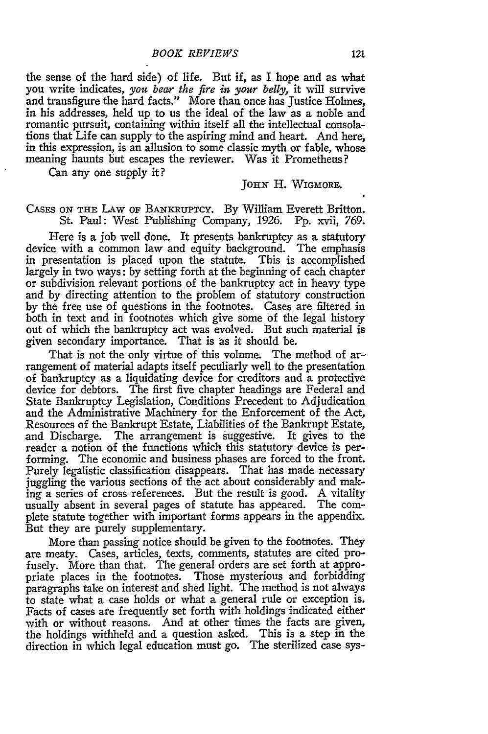the sense of the hard side) of life. But if, as I hope and as what you write indicates, *you bear the fire in your belly,* it will survive and transfigure the hard facts." More than once has Justice Holmes, in his addresses, held up to us the ideal of the law as a noble and romantic pursuit, containing within itself all the intellectual consolations that Life can supply to the aspiring mind and heart. And here, in this expression, is an allusion to some classic myth or fable, whose meaning haunts but escapes the reviewer. Was it Prometheus?

Can any one supply it?

## **JoHiN** H. **WIGMORE.**

CASES **ON THE** LAw OF **BANKRUPTcY.** By William Everett Britton. St. Paul: West Publishing Company, 1926. Pp. xvii, 769.

Here is a job well done. It presents bankruptcy as a statutory device with a common law and equity background. The emphasis in presentation is placed upon the statute. This is accomplished largely in two ways: by setting forth at the beginning of each chapter or subdivision relevant portions of the bankruptcy act in heavy type and by directing attention to the problem of statutory construction by the free use of questions in the footnotes. Cases are filtered in both in text and in footnotes which give some of the legal history out of which the bankruptcy act was evolved. But such material is given secondary importance. That is as it should be.

That is not the only virtue of this volume. The method of ar-rangement of material adapts itself peculiarly well to the presentation of bankruptcy as a liquidating device for creditors and a protective device for debtors. The first five chapter headings are Federal and State Bankruptcy Legislation, Conditions Precedent to Adjudication and the Administrative Machinery for the Enforcement of the Act, Resources of the Bankrupt Estate, Liabilities of the Bankrupt Estate, and Discharge. The arrangement is suggestive. It gives to the reader a notion of the functions which this statutory device is performing. The economic and business phases are forced to the front. Purely legalistic classification disappears. That has made necessary juggling the various sections of the act about considerably and making a series of cross references. But the result is good. A vitality usually absent in several pages of statute has appeared. The complete statute together with important forms appears in the appendix. But they are purely supplementary.

More than passing notice should be given to the footnotes. They are meaty. Cases, articles, texts, comments, statutes are cited profusely. More than that. The general orders are set forth at appropriate places in the footnotes. Those mysterious and forbidding paragraphs take on interest and shed light. The method is not always to state what a case holds or what a general rule or exception is. Facts of cases are frequently set forth with holdings indicated either with or without reasons. And at other times the facts are given, the holdings withheld and a question asked. This is a step in the direction in which legal education must go. The sterilized case sys